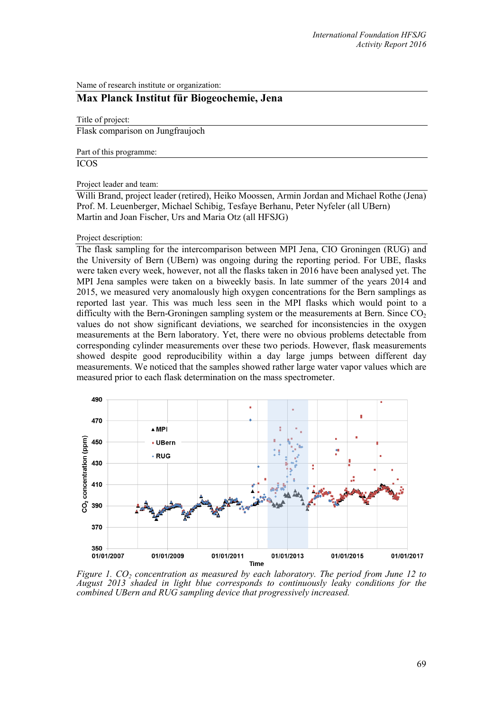Name of research institute or organization:

## **Max Planck Institut für Biogeochemie, Jena**

Title of project:

Flask comparison on Jungfraujoch

Part of this programme:

ICOS

Project leader and team:

Willi Brand, project leader (retired), Heiko Moossen, Armin Jordan and Michael Rothe (Jena) Prof. M. Leuenberger, Michael Schibig, Tesfaye Berhanu, Peter Nyfeler (all UBern) Martin and Joan Fischer, Urs and Maria Otz (all HFSJG)

## Project description:

The flask sampling for the intercomparison between MPI Jena, CIO Groningen (RUG) and the University of Bern (UBern) was ongoing during the reporting period. For UBE, flasks were taken every week, however, not all the flasks taken in 2016 have been analysed yet. The MPI Jena samples were taken on a biweekly basis. In late summer of the years 2014 and 2015, we measured very anomalously high oxygen concentrations for the Bern samplings as reported last year. This was much less seen in the MPI flasks which would point to a difficulty with the Bern-Groningen sampling system or the measurements at Bern. Since  $CO<sub>2</sub>$ values do not show significant deviations, we searched for inconsistencies in the oxygen measurements at the Bern laboratory. Yet, there were no obvious problems detectable from corresponding cylinder measurements over these two periods. However, flask measurements showed despite good reproducibility within a day large jumps between different day measurements. We noticed that the samples showed rather large water vapor values which are measured prior to each flask determination on the mass spectrometer.



*Figure 1. CO<sub>2</sub> concentration as measured by each laboratory. The period from June 12 to August 2013 shaded in light blue corresponds to continuously leaky conditions for the combined UBern and RUG sampling device that progressively increased.*